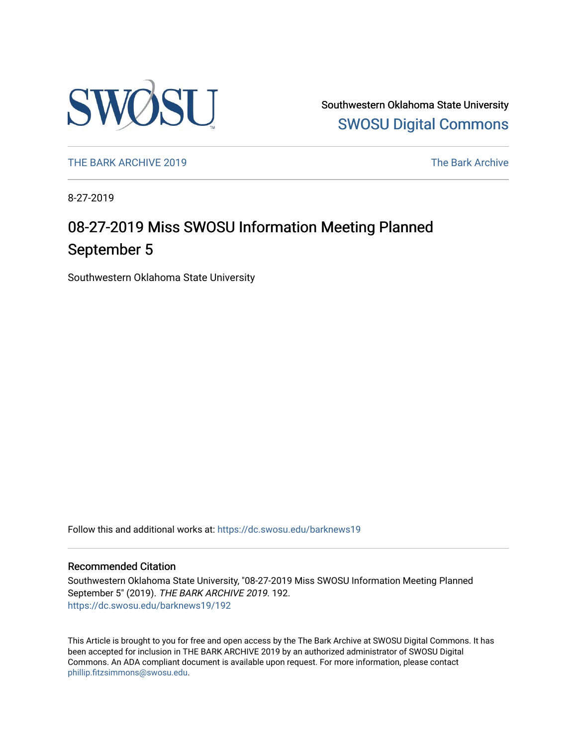

Southwestern Oklahoma State University [SWOSU Digital Commons](https://dc.swosu.edu/) 

[THE BARK ARCHIVE 2019](https://dc.swosu.edu/barknews19) The Bark Archive

8-27-2019

# 08-27-2019 Miss SWOSU Information Meeting Planned September 5

Southwestern Oklahoma State University

Follow this and additional works at: [https://dc.swosu.edu/barknews19](https://dc.swosu.edu/barknews19?utm_source=dc.swosu.edu%2Fbarknews19%2F192&utm_medium=PDF&utm_campaign=PDFCoverPages)

#### Recommended Citation

Southwestern Oklahoma State University, "08-27-2019 Miss SWOSU Information Meeting Planned September 5" (2019). THE BARK ARCHIVE 2019. 192. [https://dc.swosu.edu/barknews19/192](https://dc.swosu.edu/barknews19/192?utm_source=dc.swosu.edu%2Fbarknews19%2F192&utm_medium=PDF&utm_campaign=PDFCoverPages)

This Article is brought to you for free and open access by the The Bark Archive at SWOSU Digital Commons. It has been accepted for inclusion in THE BARK ARCHIVE 2019 by an authorized administrator of SWOSU Digital Commons. An ADA compliant document is available upon request. For more information, please contact [phillip.fitzsimmons@swosu.edu](mailto:phillip.fitzsimmons@swosu.edu).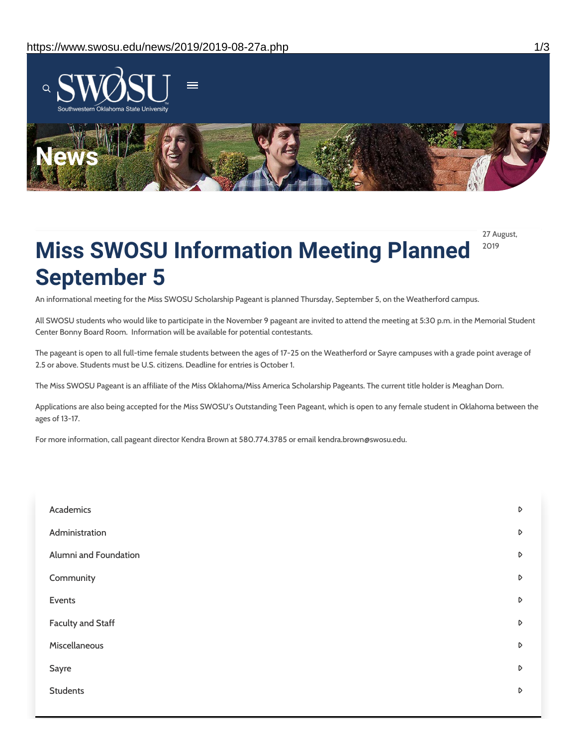

27 August, 2019

# **Miss SWOSU Information Meeting Planned September 5**

An informational meeting for the Miss SWOSU Scholarship Pageant is planned Thursday, September 5, on the Weatherford campus.

All SWOSU students who would like to participate in the November 9 pageant are invited to attend the meeting at 5:30 p.m. in the Memorial Student Center Bonny Board Room. Information will be available for potential contestants.

The pageant is open to all full-time female students between the ages of 17-25 on the Weatherford or Sayre campuses with a grade point average of 2.5 or above. Students must be U.S. citizens. Deadline for entries is October 1.

The Miss SWOSU Pageant is an affiliate of the Miss Oklahoma/Miss America Scholarship Pageants. The current title holder is Meaghan Dorn.

Applications are also being accepted for the Miss SWOSU's Outstanding Teen Pageant, which is open to any female student in Oklahoma between the ages of 13-17.

For more information, call pageant director Kendra Brown at 580.774.3785 or email kendra.brown@swosu.edu.

| Academics                | D                |
|--------------------------|------------------|
| Administration           | $\triangleright$ |
| Alumni and Foundation    | $\triangleright$ |
| Community                | D                |
| Events                   | D                |
| <b>Faculty and Staff</b> | $\triangleright$ |
| Miscellaneous            | D                |
| Sayre                    | D                |
| <b>Students</b>          | D                |
|                          |                  |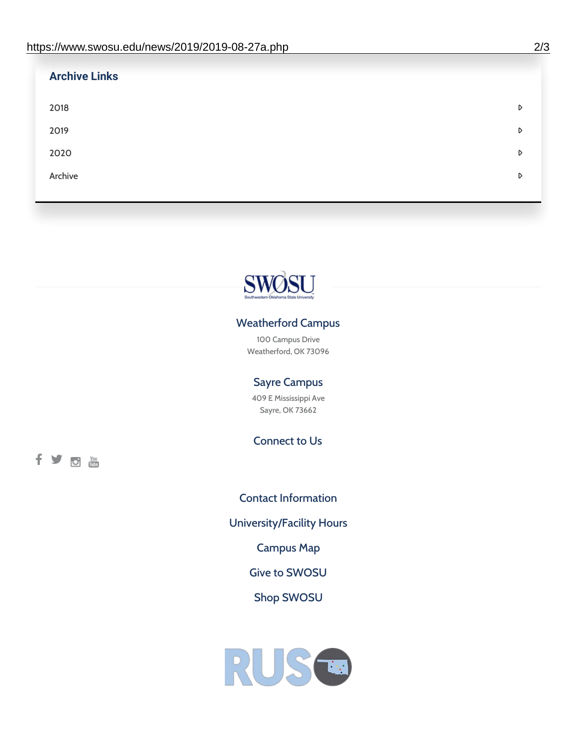| <b>Archive Links</b> |   |
|----------------------|---|
| 2018                 | D |
| 2019                 | D |
| 2020                 | D |
| Archive              | D |



## Weatherford Campus

100 Campus Drive Weatherford, OK 73096

### Sayre Campus

409 E Mississippi Ave Sayre, OK 73662

Connect to Us

fyom

Contact [Information](https://www.swosu.edu/about/contact.php) [University/Facility](https://www.swosu.edu/about/operating-hours.php) Hours [Campus](https://map.concept3d.com/?id=768#!ct/10964,10214,10213,10212,10205,10204,10203,10202,10136,10129,10128,0,31226,10130,10201,10641,0) Map Give to [SWOSU](https://standingfirmly.com/donate) Shop [SWOSU](https://shopswosu.merchorders.com/)